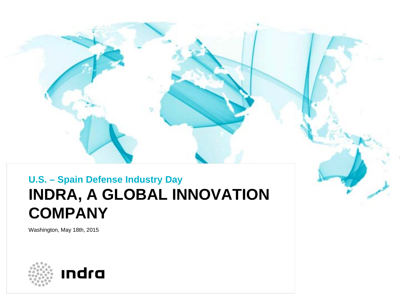# **INDRA, A GLOBAL INNOVATION COMPANY U.S. – Spain Defense Industry Day**

Washington, May 18th, 2015

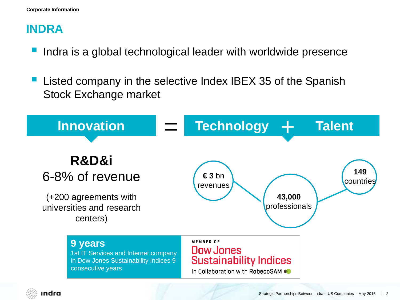## **INDRA**

- Indra is a global technological leader with worldwide presence
- Listed company in the selective Index IBEX 35 of the Spanish Stock Exchange market



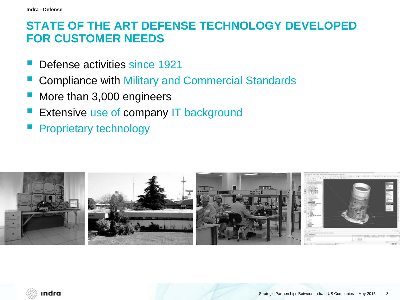#### **STATE OF THE ART DEFENSE TECHNOLOGY DEVELOPED FOR CUSTOMER NEEDS**

- Defense activities since 1921
- Compliance with Military and Commercial Standards
- More than 3,000 engineers
- Extensive use of company IT background
- **Proprietary technology**

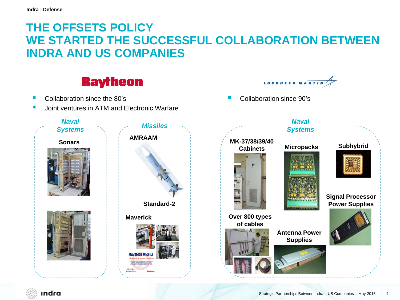#### **THE OFFSETS POLICY WE STARTED THE SUCCESSFUL COLLABORATION BETWEEN INDRA AND US COMPANIES**



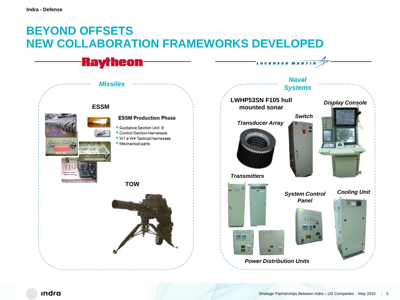## **BEYOND OFFSETS NEW COLLABORATION FRAMEWORKS DEVELOPED**



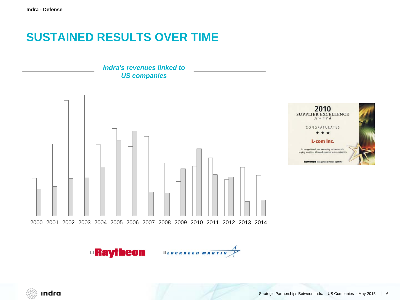### **SUSTAINED RESULTS OVER TIME**





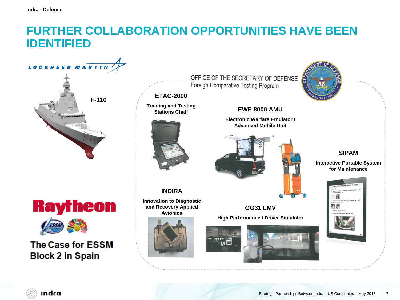### **FURTHER COLLABORATION OPPORTUNITIES HAVE BEEN IDENTIFIED**





#### **The Case for ESSM Block 2 in Spain**

OFFICE OF THE SECRETARY OF DEFENSE Foreign Comparative Testing Program **F-110 ETAC-2000 Training and Testing Stations Chaff EWE 8000 AMU Electronic Warfare Emulator / Advanced Mobile Unit SIPAM Interactive Portable System for MaintenanceINDIRA Innovation to Diagnostic and Recovery Applied GG31 LMV Avionics High Performance / Driver Simulator**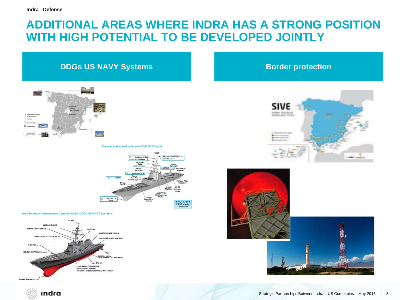#### **ADDITIONAL AREAS WHERE INDRA HAS A STRONG POSITION WITH HIGH POTENTIAL TO BE DEVELOPED JOINTLY**

#### **DDGs US NAVY Systems Border protection**

Systems maintained by Indra in F100 SN Frigates



Indra Potential Maintenance Capabilities for DDGs US NAVY Systems.